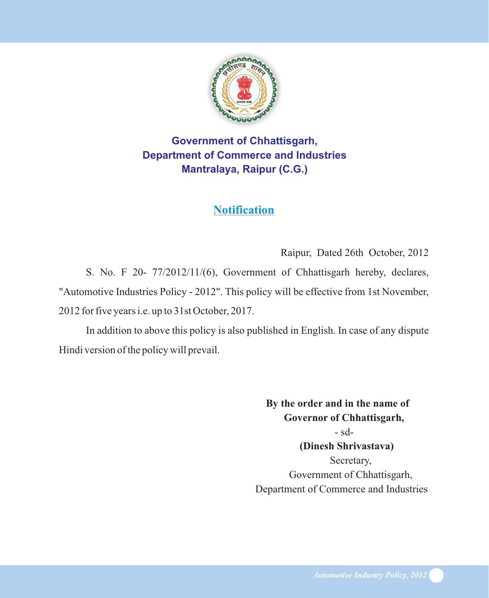

**Government of Chhattisgarh, Department of Commerce and Industries Mantralaya, Raipur (C.G.)**

# **Notification**

Raipur, Dated 26th October, 2012 S. No. F 20- 77/2012/11/(6), Government of Chhattisgarh hereby, declares, "Automotive Industries Policy - 2012". This policy will be effective from 1st November, 2012 for five years i.e. up to 31st October, 2017.

In addition to above this policy is also published in English. In case of any dispute Hindi version of the policy will prevail.

> **By the order and in the name of Governor of Chhattisgarh, (Dinesh Shrivastava)** Secretary, Government of Chhattisgarh, Department of Commerce and Industries - sd-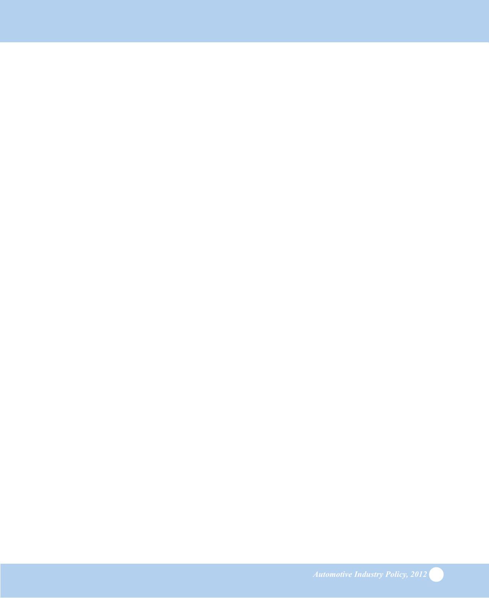*Automotive Industry Policy, 2012 Automotive Industry Policy, 2012*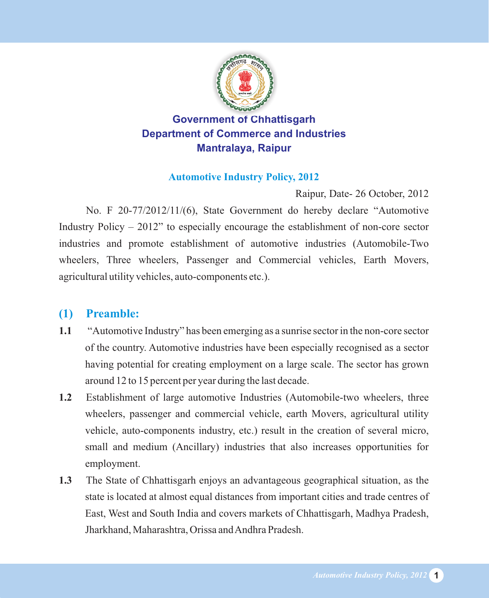

# **Government of Chhattisgarh Department of Commerce and Industries Mantralaya, Raipur**

#### **Automotive Industry Policy, 2012**

Raipur, Date- 26 October, 2012

No. F 20-77/2012/11/(6), State Government do hereby declare "Automotive Industry Policy – 2012" to especially encourage the establishment of non-core sector industries and promote establishment of automotive industries (Automobile-Two wheelers, Three wheelers, Passenger and Commercial vehicles, Earth Movers, agricultural utility vehicles, auto-components etc.).

# **(1) Preamble:**

- **1.1** "Automotive Industry" has been emerging as a sunrise sector in the non-core sector of the country. Automotive industries have been especially recognised as a sector having potential for creating employment on a large scale. The sector has grown around 12 to 15 percent per year during the last decade.
- **1.2** Establishment of large automotive Industries (Automobile-two wheelers, three wheelers, passenger and commercial vehicle, earth Movers, agricultural utility vehicle, auto-components industry, etc.) result in the creation of several micro, small and medium (Ancillary) industries that also increases opportunities for employment.
- **1.3** The State of Chhattisgarh enjoys an advantageous geographical situation, as the state is located at almost equal distances from important cities and trade centres of East, West and South India and covers markets of Chhattisgarh, Madhya Pradesh, Jharkhand, Maharashtra, Orissa and Andhra Pradesh.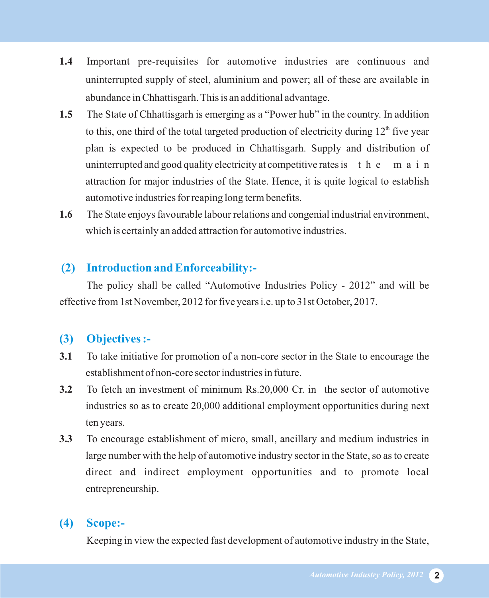- **1.4** Important pre-requisites for automotive industries are continuous and uninterrupted supply of steel, aluminium and power; all of these are available in abundance in Chhattisgarh. This is an additional advantage.
- **1.5** The State of Chhattisgarh is emerging as a "Power hub" in the country. In addition to this, one third of the total targeted production of electricity during  $12<sup>th</sup>$  five year plan is expected to be produced in Chhattisgarh. Supply and distribution of uninterrupted and good quality electricity at competitive rates is  $t \cdot h \cdot e$  m a i n attraction for major industries of the State. Hence, it is quite logical to establish automotive industries for reaping long term benefits.
- **1.6** The State enjoys favourable labour relations and congenial industrial environment, which is certainly an added attraction for automotive industries.

## **(2) Introduction and Enforceability:-**

The policy shall be called "Automotive Industries Policy - 2012" and will be effective from 1st November, 2012 for five years i.e. up to 31st October, 2017.

## **(3) Objectives :-**

- **3.1** To take initiative for promotion of a non-core sector in the State to encourage the establishment of non-core sector industries in future.
- **3.2** To fetch an investment of minimum Rs.20,000 Cr. in the sector of automotive industries so as to create 20,000 additional employment opportunities during next ten years.
- **3.3** To encourage establishment of micro, small, ancillary and medium industries in large number with the help of automotive industry sector in the State, so as to create direct and indirect employment opportunities and to promote local entrepreneurship.

## **(4) Scope:-**

Keeping in view the expected fast development of automotive industry in the State,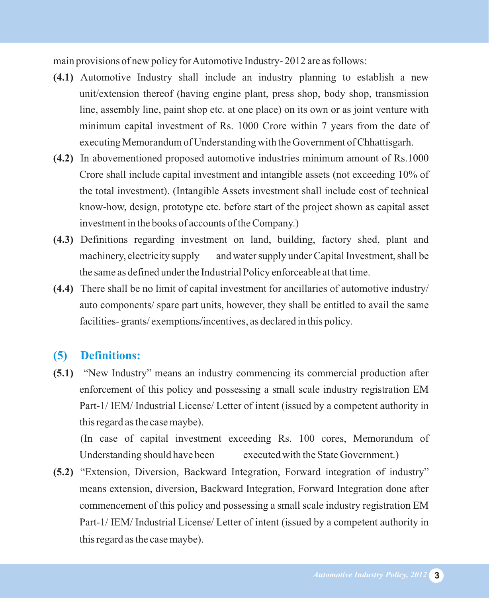main provisions of new policy for Automotive Industry- 2012 are as follows:

- **(4.1)** Automotive Industry shall include an industry planning to establish a new unit/extension thereof (having engine plant, press shop, body shop, transmission line, assembly line, paint shop etc. at one place) on its own or as joint venture with minimum capital investment of Rs. 1000 Crore within 7 years from the date of executing Memorandum of Understanding with the Government of Chhattisgarh.
- **(4.2)** In abovementioned proposed automotive industries minimum amount of Rs.1000 Crore shall include capital investment and intangible assets (not exceeding 10% of the total investment). (Intangible Assets investment shall include cost of technical know-how, design, prototype etc. before start of the project shown as capital asset investment in the books of accounts of the Company.)
- **(4.3)** Definitions regarding investment on land, building, factory shed, plant and machinery, electricity supply and water supply under Capital Investment, shall be the same as defined under the Industrial Policy enforceable at that time.
- **(4.4)** There shall be no limit of capital investment for ancillaries of automotive industry/ auto components/ spare part units, however, they shall be entitled to avail the same facilities- grants/ exemptions/incentives, as declared in this policy.

## **(5) Definitions:**

**(5.1)** "New Industry" means an industry commencing its commercial production after enforcement of this policy and possessing a small scale industry registration EM Part-1/ IEM/ Industrial License/ Letter of intent (issued by a competent authority in this regard as the case maybe).

(In case of capital investment exceeding Rs. 100 cores, Memorandum of Understanding should have been executed with the State Government.)

**(5.2)** "Extension, Diversion, Backward Integration, Forward integration of industry" means extension, diversion, Backward Integration, Forward Integration done after commencement of this policy and possessing a small scale industry registration EM Part-1/ IEM/ Industrial License/ Letter of intent (issued by a competent authority in this regard as the case maybe).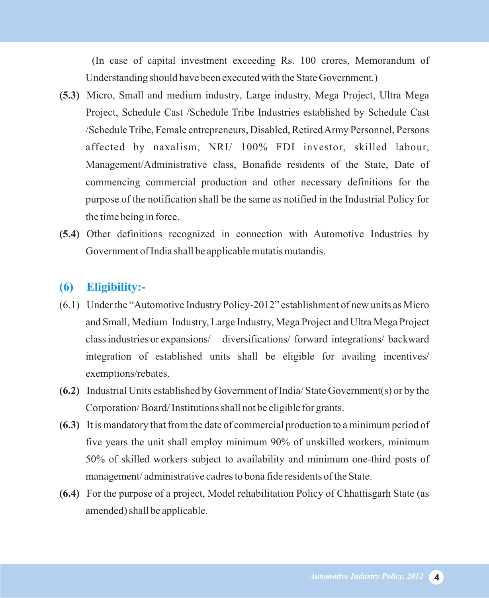(In case of capital investment exceeding Rs. 100 crores, Memorandum of Understanding should have been executed with the State Government.)

- **(5.3)** Micro, Small and medium industry, Large industry, Mega Project, Ultra Mega Project, Schedule Cast /Schedule Tribe Industries established by Schedule Cast /Schedule Tribe, Female entrepreneurs, Disabled, Retired Army Personnel, Persons affected by naxalism, NRI/ 100% FDI investor, skilled labour, Management/Administrative class, Bonafide residents of the State, Date of commencing commercial production and other necessary definitions for the purpose of the notification shall be the same as notified in the Industrial Policy for the time being in force.
- **(5.4)** Other definitions recognized in connection with Automotive Industries by Government of India shall be applicable mutatis mutandis.

#### **(6) Eligibility:-**

- (6.1) Under the "Automotive Industry Policy-2012" establishment of new units as Micro and Small, Medium Industry, Large Industry, Mega Project and Ultra Mega Project class industries or expansions/ diversifications/ forward integrations/ backward integration of established units shall be eligible for availing incentives/ exemptions/rebates.
- **(6.2)** Industrial Units established by Government of India/ State Government(s) or by the Corporation/ Board/ Institutions shall not be eligible for grants.
- **(6.3)** It is mandatory that from the date of commercial production to a minimum period of five years the unit shall employ minimum 90% of unskilled workers, minimum 50% of skilled workers subject to availability and minimum one-third posts of management/ administrative cadres to bona fide residents of the State.
- **(6.4)** For the purpose of a project, Model rehabilitation Policy of Chhattisgarh State (as amended) shall be applicable.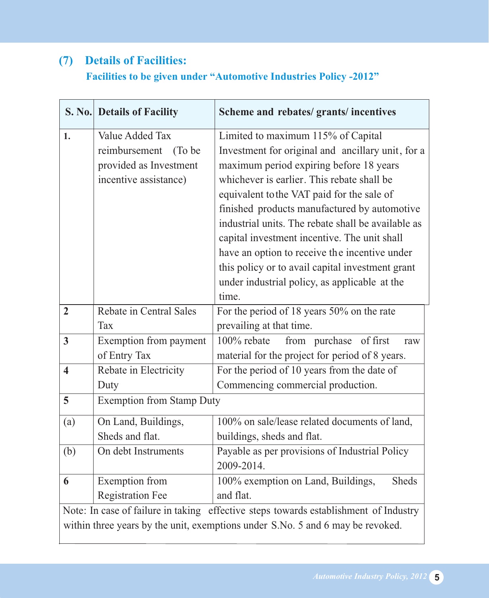# **(7) Details of Facilities:**

 **Facilities to be given under "Automotive Industries Policy -2012"**

|                                                                                                                                                                        | S. No. Details of Facility                                                                            | Scheme and rebates/ grants/ incentives                                                                                                                                                                                                                                                                                                                                                                                                                                                                                                              |
|------------------------------------------------------------------------------------------------------------------------------------------------------------------------|-------------------------------------------------------------------------------------------------------|-----------------------------------------------------------------------------------------------------------------------------------------------------------------------------------------------------------------------------------------------------------------------------------------------------------------------------------------------------------------------------------------------------------------------------------------------------------------------------------------------------------------------------------------------------|
| 1.                                                                                                                                                                     | <b>Value Added Tax</b><br>reimbursement<br>(To be)<br>provided as Investment<br>incentive assistance) | Limited to maximum 115% of Capital<br>Investment for original and ancillary unit, for a<br>maximum period expiring before 18 years<br>whichever is earlier. This rebate shall be<br>equivalent to the VAT paid for the sale of<br>finished products manufactured by automotive<br>industrial units. The rebate shall be available as<br>capital investment incentive. The unit shall<br>have an option to receive the incentive under<br>this policy or to avail capital investment grant<br>under industrial policy, as applicable at the<br>time. |
| $\overline{2}$                                                                                                                                                         | <b>Rebate in Central Sales</b><br>Tax                                                                 | For the period of 18 years 50% on the rate<br>prevailing at that time.                                                                                                                                                                                                                                                                                                                                                                                                                                                                              |
| $\overline{\mathbf{3}}$                                                                                                                                                | Exemption from payment<br>of Entry Tax                                                                | $100\%$ rebate<br>from purchase of first<br>raw<br>material for the project for period of 8 years.                                                                                                                                                                                                                                                                                                                                                                                                                                                  |
| $\overline{\mathbf{4}}$                                                                                                                                                | Rebate in Electricity<br>Duty                                                                         | For the period of 10 years from the date of<br>Commencing commercial production.                                                                                                                                                                                                                                                                                                                                                                                                                                                                    |
| 5                                                                                                                                                                      | <b>Exemption from Stamp Duty</b>                                                                      |                                                                                                                                                                                                                                                                                                                                                                                                                                                                                                                                                     |
| (a)                                                                                                                                                                    | On Land, Buildings,<br>Sheds and flat.                                                                | 100% on sale/lease related documents of land,<br>buildings, sheds and flat.                                                                                                                                                                                                                                                                                                                                                                                                                                                                         |
| (b)                                                                                                                                                                    | On debt Instruments                                                                                   | Payable as per provisions of Industrial Policy<br>2009-2014.                                                                                                                                                                                                                                                                                                                                                                                                                                                                                        |
| 6                                                                                                                                                                      | Exemption from<br><b>Registration Fee</b>                                                             | 100% exemption on Land, Buildings,<br><b>Sheds</b><br>and flat.                                                                                                                                                                                                                                                                                                                                                                                                                                                                                     |
| Note: In case of failure in taking effective steps towards establishment of Industry<br>within three years by the unit, exemptions under S.No. 5 and 6 may be revoked. |                                                                                                       |                                                                                                                                                                                                                                                                                                                                                                                                                                                                                                                                                     |